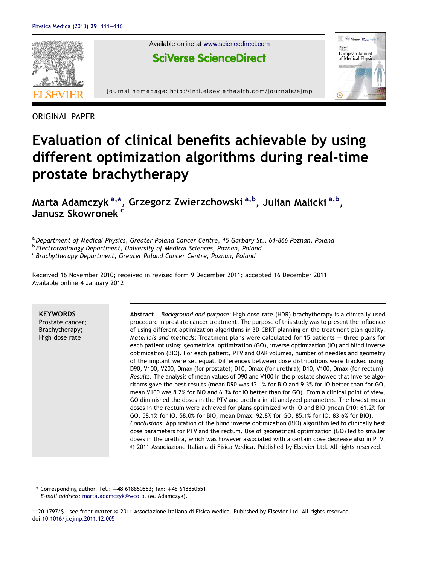

ORIGINAL PAPER

# Evaluation of clinical benefits achievable by using different optimization algorithms during real-time prostate brachytherapy

Marta Adamczyk <sup>a,\*</sup>, Grzegorz Zwierzchowski <sup>a,b</sup>, Julian Malicki <sup>a,b</sup>, Janusz Skowronek<sup>c</sup>

a Department of Medical Physics, Greater Poland Cancer Centre, 15 Garbary St., 61-866 Poznan, Poland

**b Electroradiology Department, University of Medical Sciences, Poznan, Poland** 

<sup>c</sup> Brachytherapy Department, Greater Poland Cancer Centre, Poznan, Poland

Received 16 November 2010; received in revised form 9 December 2011; accepted 16 December 2011 Available online 4 January 2012

**KEYWORDS** 

Prostate cancer; Brachytherapy; High dose rate

Abstract Background and purpose: High dose rate (HDR) brachytherapy is a clinically used procedure in prostate cancer treatment. The purpose of this study was to present the influence of using different optimization algorithms in 3D-CBRT planning on the treatment plan quality. Materials and methods: Treatment plans were calculated for 15 patients  $-$  three plans for each patient using: geometrical optimization (GO), inverse optimization (IO) and blind inverse optimization (BIO). For each patient, PTV and OAR volumes, number of needles and geometry of the implant were set equal. Differences between dose distributions were tracked using: D90, V100, V200, Dmax (for prostate); D10, Dmax (for urethra); D10, V100, Dmax (for rectum). Results: The analysis of mean values of D90 and V100 in the prostate showed that inverse algorithms gave the best results (mean D90 was 12.1% for BIO and 9.3% for IO better than for GO, mean V100 was 8.2% for BIO and 6.3% for IO better than for GO). From a clinical point of view, GO diminished the doses in the PTV and urethra in all analyzed parameters. The lowest mean doses in the rectum were achieved for plans optimized with IO and BIO (mean D10: 61.2% for GO, 58.1% for IO, 58.0% for BIO; mean Dmax: 92.8% for GO, 85.1% for IO, 83.6% for BIO). Conclusions: Application of the blind inverse optimization (BIO) algorithm led to clinically best dose parameters for PTV and the rectum. Use of geometrical optimization (GO) led to smaller doses in the urethra, which was however associated with a certain dose decrease also in PTV. ª 2011 Associazione Italiana di Fisica Medica. Published by Elsevier Ltd. All rights reserved.

Corresponding author. Tel.:  $+48$  618850553; fax:  $+48$  618850551. E-mail address: [marta.adamczyk@wco.pl](mailto:marta.adamczyk@wco.pl) (M. Adamczyk).

1120-1797/\$ - see front matter ª 2011 Associazione Italiana di Fisica Medica. Published by Elsevier Ltd. All rights reserved. doi[:10.1016/j.ejmp.2011.12.005](http://dx.doi.org/10.1016/j.ejmp.2011.12.005)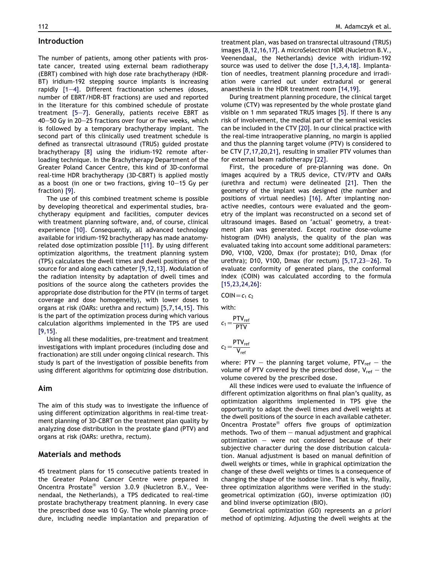# Introduction

The number of patients, among other patients with prostate cancer, treated using external beam radiotherapy (EBRT) combined with high dose rate brachytherapy (HDR-BT) iridium-192 stepping source implants is increasing rapidly  $[1-4]$  $[1-4]$ . Different fractionation schemes (doses, number of EBRT/HDR-BT fractions) are used and reported in the literature for this combined schedule of prostate treatment  $[5-7]$  $[5-7]$  $[5-7]$ . Generally, patients receive EBRT as 40-50 Gy in 20-25 fractions over four or five weeks, which is followed by a temporary brachytherapy implant. The second part of this clinically used treatment schedule is defined as transrectal ultrasound (TRUS) guided prostate brachytherapy [\[8\]](#page-5-0) using the iridium-192 remote afterloading technique. In the Brachytherapy Department of the Greater Poland Cancer Centre, this kind of 3D-conformal real-time HDR brachytherapy (3D-CBRT) is applied mostly as a boost (in one or two fractions, giving  $10-15$  Gy per fraction) [\[9\]](#page-5-0).

The use of this combined treatment scheme is possible by developing theoretical and experimental studies, brachytherapy equipment and facilities, computer devices with treatment planning software, and, of course, clinical experience [\[10\].](#page-5-0) Consequently, all advanced technology available for iridium-192 brachytherapy has made anatomyrelated dose optimization possible [\[11\].](#page-5-0) By using different optimization algorithms, the treatment planning system (TPS) calculates the dwell times and dwell positions of the source for and along each catheter [\[9,12,13\]](#page-5-0). Modulation of the radiation intensity by adaptation of dwell times and positions of the source along the catheters provides the appropriate dose distribution for the PTV (in terms of target coverage and dose homogeneity), with lower doses to organs at risk (OARs: urethra and rectum) [\[5,7,14,15\]](#page-5-0). This is the part of the optimization process during which various calculation algorithms implemented in the TPS are used [\[9,15\].](#page-5-0)

Using all these modalities, pre-treatment and treatment investigations with implant procedures (including dose and fractionation) are still under ongoing clinical research. This study is part of the investigation of possible benefits from using different algorithms for optimizing dose distribution.

# Aim

The aim of this study was to investigate the influence of using different optimization algorithms in real-time treatment planning of 3D-CBRT on the treatment plan quality by analyzing dose distribution in the prostate gland (PTV) and organs at risk (OARs: urethra, rectum).

# Materials and methods

45 treatment plans for 15 consecutive patients treated in the Greater Poland Cancer Centre were prepared in Oncentra Prostate® version 3.0.9 (Nucletron B.V., Veenendaal, the Netherlands), a TPS dedicated to real-time prostate brachytherapy treatment planning. In every case the prescribed dose was 10 Gy. The whole planning procedure, including needle implantation and preparation of

treatment plan, was based on transrectal ultrasound (TRUS) images [\[8,12,16,17\].](#page-5-0) A microSelectron HDR (Nucletron B.V., Veenendaal, the Netherlands) device with iridium-192 source was used to deliver the dose [\[1,3,4,18\]](#page-4-0). Implantation of needles, treatment planning procedure and irradiation were carried out under extradural or general anaesthesia in the HDR treatment room [\[14,19\].](#page-5-0)

During treatment planning procedure, the clinical target volume (CTV) was represented by the whole prostate gland visible on 1 mm separated TRUS images [\[5\].](#page-5-0) If there is any risk of involvement, the medial part of the seminal vesicles can be included in the CTV [\[20\]](#page-5-0). In our clinical practice with the real-time intraoperative planning, no margin is applied and thus the planning target volume (PTV) is considered to be CTV [\[7,17,20,21\]](#page-5-0), resulting in smaller PTV volumes than for external beam radiotherapy [\[22\]](#page-5-0).

First, the procedure of pre-planning was done. On images acquired by a TRUS device, CTV/PTV and OARs (urethra and rectum) were delineated [\[21\].](#page-5-0) Then the geometry of the implant was designed (the number and positions of virtual needles) [\[16\].](#page-5-0) After implanting nonactive needles, contours were evaluated and the geometry of the implant was reconstructed on a second set of ultrasound images. Based on 'actual' geometry, a treatment plan was generated. Except routine dose-volume histogram (DVH) analysis, the quality of the plan was evaluated taking into account some additional parameters: D90, V100, V200, Dmax (for prostate); D10, Dmax (for urethra); D10, V100, Dmax (for rectum)  $[5,17,23-26]$  $[5,17,23-26]$  $[5,17,23-26]$ . To evaluate conformity of generated plans, the conformal index (COIN) was calculated according to the formula [\[15,23,24,26\]:](#page-5-0)

 $COIN = c_1 c_2$ 

with:

$$
c_1 = \frac{PTV_{ref}}{PTV}
$$

$$
c_2 \!=\! \frac{\text{PTV}_\text{ref}}{\text{V}_\text{ref}}
$$

where: PTV – the planning target volume, PTV<sub>ref</sub> – the volume of PTV covered by the prescribed dose,  $V_{ref}$  – the volume covered by the prescribed dose.

All these indices were used to evaluate the influence of different optimization algorithms on final plan's quality, as optimization algorithms implemented in TPS give the opportunity to adapt the dwell times and dwell weights at the dwell positions of the source in each available catheter. Oncentra Prostate<sup>®</sup> offers five groups of optimization methods. Two of them  $-$  manual adjustment and graphical optimization  $-$  were not considered because of their subjective character during the dose distribution calculation. Manual adjustment is based on manual definition of dwell weights or times, while in graphical optimization the change of these dwell weights or times is a consequence of changing the shape of the isodose line. That is why, finally, three optimization algorithms were verified in the study: geometrical optimization (GO), inverse optimization (IO) and blind inverse optimization (BIO).

Geometrical optimization (GO) represents an a priori method of optimizing. Adjusting the dwell weights at the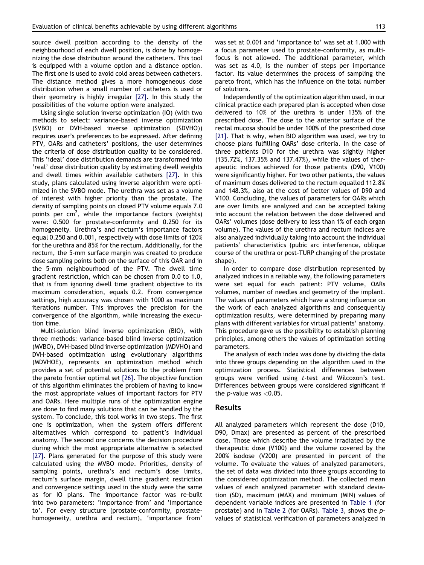source dwell position according to the density of the neighbourhood of each dwell position, is done by homogenizing the dose distribution around the catheters. This tool is equipped with a volume option and a distance option. The first one is used to avoid cold areas between catheters. The distance method gives a more homogeneous dose distribution when a small number of catheters is used or their geometry is highly irregular [\[27\]](#page-5-0). In this study the possibilities of the volume option were analyzed.

Using single solution inverse optimization (IO) (with two methods to select: variance-based inverse optimization (SVBO) or DVH-based inverse optimization (SDVHO)) requires user's preferences to be expressed. After defining PTV, OARs and catheters' positions, the user determines the criteria of dose distribution quality to be considered. This 'ideal' dose distribution demands are transformed into 'real' dose distribution quality by estimating dwell weights and dwell times within available catheters [\[27\]](#page-5-0). In this study, plans calculated using inverse algorithm were optimized in the SVBO mode. The urethra was set as a volume of interest with higher priority than the prostate. The density of sampling points on closed PTV volume equals 7.0 points per cm<sup>2</sup>, while the importance factors (weights) were: 0.500 for prostate-conformity and 0.250 for its homogeneity. Urethra's and rectum's importance factors equal 0.250 and 0.001, respectively with dose limits of 120% for the urethra and 85% for the rectum. Additionally, for the rectum, the 5-mm surface margin was created to produce dose sampling points both on the surface of this OAR and in the 5-mm neighbourhood of the PTV. The dwell time gradient restriction, which can be chosen from 0.0 to 1.0, that is from ignoring dwell time gradient objective to its maximum consideration, equals 0.2. From convergence settings, high accuracy was chosen with 1000 as maximum iterations number. This improves the precision for the convergence of the algorithm, while increasing the execution time.

Multi-solution blind inverse optimization (BIO), with three methods: variance-based blind inverse optimization (MVBO), DVH-based blind inverse optimization (MDVHO) and DVH-based optimization using evolutionary algorithms (MDVHOE), represents an optimization method which provides a set of potential solutions to the problem from the pareto frontier optimal set [\[26\]](#page-5-0). The objective function of this algorithm eliminates the problem of having to know the most appropriate values of important factors for PTV and OARs. Here multiple runs of the optimization engine are done to find many solutions that can be handled by the system. To conclude, this tool works in two steps. The first one is optimization, when the system offers different alternatives which correspond to patient's individual anatomy. The second one concerns the decision procedure during which the most appropriate alternative is selected [\[27\]](#page-5-0). Plans generated for the purpose of this study were calculated using the MVBO mode. Priorities, density of sampling points, urethra's and rectum's dose limits, rectum's surface margin, dwell time gradient restriction and convergence settings used in the study were the same as for IO plans. The importance factor was re-built into two parameters: 'importance from' and 'importance to'. For every structure (prostate-conformity, prostatehomogeneity, urethra and rectum), 'importance from' was set at 0.001 and 'importance to' was set at 1.000 with a focus parameter used to prostate-conformity, as multifocus is not allowed. The additional parameter, which was set as 4.0, is the number of steps per importance factor. Its value determines the process of sampling the pareto front, which has the influence on the total number of solutions.

Independently of the optimization algorithm used, in our clinical practice each prepared plan is accepted when dose delivered to 10% of the urethra is under 135% of the prescribed dose. The dose to the anterior surface of the rectal mucosa should be under 100% of the prescribed dose [\[21\]](#page-5-0). That is why, when BIO algorithm was used, we try to choose plans fulfilling OARs' dose criteria. In the case of three patients D10 for the urethra was slightly higher (135.72%, 137.35% and 137.47%), while the values of therapeutic indices achieved for those patients (D90, V100) were significantly higher. For two other patients, the values of maximum doses delivered to the rectum equalled 112.8% and 148.3%, also at the cost of better values of D90 and V100. Concluding, the values of parameters for OARs which are over limits are analyzed and can be accepted taking into account the relation between the dose delivered and OARs' volumes (dose delivery to less than 1% of each organ volume). The values of the urethra and rectum indices are also analyzed individually taking into account the individual patients' characteristics (pubic arc interference, oblique course of the urethra or post-TURP changing of the prostate shape).

In order to compare dose distribution represented by analyzed indices in a reliable way, the following parameters were set equal for each patient: PTV volume, OARs volumes, number of needles and geometry of the implant. The values of parameters which have a strong influence on the work of each analyzed algorithms and consequently optimization results, were determined by preparing many plans with different variables for virtual patients' anatomy. This procedure gave us the possibility to establish planning principles, among others the values of optimization setting parameters.

The analysis of each index was done by dividing the data into three groups depending on the algorithm used in the optimization process. Statistical differences between groups were verified using t-test and Wilcoxon's test. Differences between groups were considered significant if the  $p$ -value was  $< 0.05$ .

## Results

All analyzed parameters which represent the dose (D10, D90, Dmax) are presented as percent of the prescribed dose. Those which describe the volume irradiated by the therapeutic dose (V100) and the volume covered by the 200% isodose (V200) are presented in percent of the volume. To evaluate the values of analyzed parameters, the set of data was divided into three groups according to the considered optimization method. The collected mean values of each analyzed parameter with standard deviation (SD), maximum (MAX) and minimum (MIN) values of dependent variable indices are presented in [Table 1](#page-3-0) (for prostate) and in [Table 2](#page-3-0) (for OARs). [Table 3](#page-3-0), shows the pvalues of statistical verification of parameters analyzed in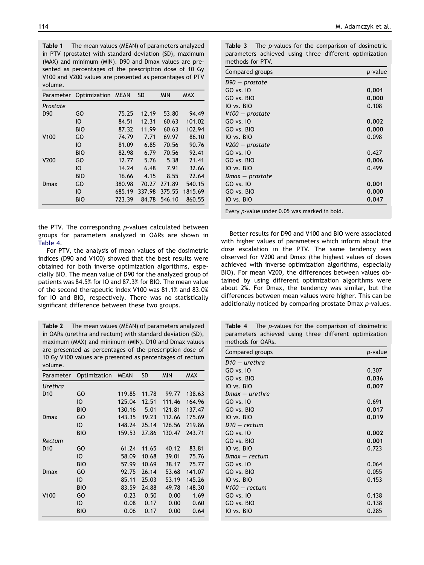<span id="page-3-0"></span>Table 1 The mean values (MEAN) of parameters analyzed in PTV (prostate) with standard deviation (SD), maximum (MAX) and minimum (MIN). D90 and Dmax values are presented as percentages of the prescription dose of 10 Gy V100 and V200 values are presented as percentages of PTV volume.

|                  | Parameter Optimization MEAN |        | <b>SD</b> | <b>MIN</b> | <b>MAX</b> |
|------------------|-----------------------------|--------|-----------|------------|------------|
| Prostate         |                             |        |           |            |            |
| D <sub>90</sub>  | GO                          | 75.25  | 12.19     | 53.80      | 94.49      |
|                  | IO                          | 84.51  | 12.31     | 60.63      | 101.02     |
|                  | <b>BIO</b>                  | 87.32  | 11.99     | 60.63      | 102.94     |
| V <sub>100</sub> | GO                          | 74.79  | 7.71      | 69.97      | 86.10      |
|                  | IO                          | 81.09  | 6.85      | 70.56      | 90.76      |
|                  | <b>BIO</b>                  | 82.98  | 6.79      | 70.56      | 92.41      |
| V <sub>200</sub> | GO                          | 12.77  | 5.76      | 5.38       | 21.41      |
|                  | IO                          | 14.24  | 6.48      | 7.91       | 32.66      |
|                  | <b>BIO</b>                  | 16.66  | 4.15      | 8.55       | 22.64      |
| Dmax             | GO                          | 380.98 | 70.27     | 271.89     | 540.15     |
|                  | IO                          | 685.19 | 337.98    | 375.55     | 1815.69    |
|                  | <b>BIO</b>                  | 723.39 | 84.78     | 546.10     | 860.55     |

the PTV. The corresponding p-values calculated between groups for parameters analyzed in OARs are shown in Table 4.

For PTV, the analysis of mean values of the dosimetric indices (D90 and V100) showed that the best results were obtained for both inverse optimization algorithms, especially BIO. The mean value of D90 for the analyzed group of patients was 84.5% for IO and 87.3% for BIO. The mean value of the second therapeutic index V100 was 81.1% and 83.0% for IO and BIO, respectively. There was no statistically significant difference between these two groups.

Table 2 The mean values (MEAN) of parameters analyzed in OARs (urethra and rectum) with standard deviation (SD), maximum (MAX) and minimum (MIN). D10 and Dmax values are presented as percentages of the prescription dose of 10 Gy V100 values are presented as percentages of rectum volume.

| Parameter        | Optimization | <b>MEAN</b> | <b>SD</b> | <b>MIN</b> | <b>MAX</b> |
|------------------|--------------|-------------|-----------|------------|------------|
| Urethra          |              |             |           |            |            |
| D <sub>10</sub>  | GO           | 119.85      | 11.78     | 99.77      | 138.63     |
|                  | IО           | 125.04      | 12.51     | 111.46     | 164.96     |
|                  | <b>BIO</b>   | 130.16      | 5.01      | 121.81     | 137.47     |
| Dmax             | GO           | 143.35      | 19.23     | 112.66     | 175.69     |
|                  | IО           | 148.24      | 25.14     | 126.56     | 219.86     |
|                  | <b>BIO</b>   | 159.53      | 27.86     | 130.47     | 243.71     |
| Rectum           |              |             |           |            |            |
| D <sub>10</sub>  | GO           | 61.24       | 11.65     | 40.12      | 83.81      |
|                  | IO           | 58.09       | 10.68     | 39.01      | 75.76      |
|                  | <b>BIO</b>   | 57.99       | 10.69     | 38.17      | 75.77      |
| Dmax             | GO           | 92.75       | 26.14     | 53.68      | 141.07     |
|                  | IО           | 85.11       | 25.03     | 53.19      | 145.26     |
|                  | <b>BIO</b>   | 83.59       | 24.88     | 49.78      | 148.30     |
| V <sub>100</sub> | GO           | 0.23        | 0.50      | 0.00       | 1.69       |
|                  | IО           | 0.08        | 0.17      | 0.00       | 0.60       |
|                  | <b>BIO</b>   | 0.06        | 0.17      | 0.00       | 0.64       |

Table 3 The *p*-values for the comparison of dosimetric parameters achieved using three different optimization methods for PTV.

| Compared groups   | p-value |
|-------------------|---------|
| D90 – prostate    |         |
| GO vs. 10         | 0.001   |
| GO vs. BIO        | 0.000   |
| IO vs. BIO        | 0.108   |
| $V100 - prostate$ |         |
| GO vs. 10         | 0.002   |
| GO vs. BIO        | 0.000   |
| IO vs. BIO        | 0.098   |
| $V200 - prostate$ |         |
| GO vs. 10         | 0.427   |
| GO vs. BIO        | 0.006   |
| IO vs. BIO        | 0.499   |
| Dmax — prostate   |         |
| GO vs. 10         | 0.001   |
| GO vs. BIO        | 0.000   |
| IO vs. BIO        | 0.047   |

Every p-value under 0.05 was marked in bold.

Better results for D90 and V100 and BIO were associated with higher values of parameters which inform about the dose escalation in the PTV. The same tendency was observed for V200 and Dmax (the highest values of doses achieved with inverse optimization algorithms, especially BIO). For mean V200, the differences between values obtained by using different optimization algorithms were about 2%. For Dmax, the tendency was similar, but the differences between mean values were higher. This can be additionally noticed by comparing prostate Dmax p-values.

|                   |  |  | <b>Table 4</b> The p-values for the comparison of dosimetric |
|-------------------|--|--|--------------------------------------------------------------|
|                   |  |  | parameters achieved using three different optimization       |
| methods for OARs. |  |  |                                                              |

| Compared groups | p-value |
|-----------------|---------|
| $D10 -$ urethra |         |
| GO vs. 10       | 0.307   |
| GO vs. BIO      | 0.036   |
| IO vs. BIO      | 0.007   |
| Dmax — urethra  |         |
| GO vs. 10       | 0.691   |
| GO vs. BIO      | 0.017   |
| IO vs. BIO      | 0.019   |
| $D10 - rectum$  |         |
| GO vs. 10       | 0.002   |
| GO vs. BIO      | 0.001   |
| IO vs. BIO      | 0.723   |
| Dmax — rectum   |         |
| GO vs. 10       | 0.064   |
| GO vs. BIO      | 0.055   |
| IO vs. BIO      | 0.153   |
| $V100 - rectum$ |         |
| GO vs. 10       | 0.138   |
| GO vs. BIO      | 0.138   |
| IO vs. BIO      | 0.285   |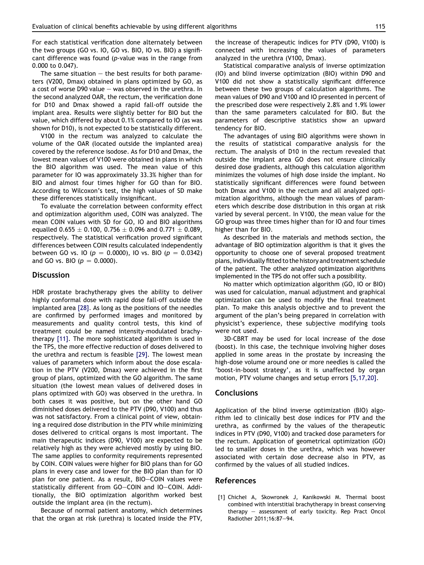<span id="page-4-0"></span>For each statistical verification done alternately between the two groups (GO vs. IO, GO vs. BIO, IO vs. BIO) a significant difference was found (p-value was in the range from 0.000 to 0.047).

The same situation  $-$  the best results for both parameters (V200, Dmax) obtained in plans optimized by GO, as a cost of worse D90 value  $-$  was observed in the urethra. In the second analyzed OAR, the rectum, the verification done for D10 and Dmax showed a rapid fall-off outside the implant area. Results were slightly better for BIO but the value, which differed by about 0.1% compared to IO (as was shown for D10), is not expected to be statistically different.

V100 in the rectum was analyzed to calculate the volume of the OAR (located outside the implanted area) covered by the reference isodose. As for D10 and Dmax, the lowest mean values of V100 were obtained in plans in which the BIO algorithm was used. The mean value of this parameter for IO was approximately 33.3% higher than for BIO and almost four times higher for GO than for BIO. According to Wilcoxon's test, the high values of SD make these differences statistically insignificant.

To evaluate the correlation between conformity effect and optimization algorithm used, COIN was analyzed. The mean COIN values with SD for GO, IO and BIO algorithms equalled 0.655  $\pm$  0.100, 0.756  $\pm$  0.096 and 0.771  $\pm$  0.089, respectively. The statistical verification proved significant differences between COIN results calculated independently between GO vs. IO ( $p = 0.0000$ ), IO vs. BIO ( $p = 0.0342$ ) and GO vs. BIO ( $p = 0.0000$ ).

## **Discussion**

HDR prostate brachytherapy gives the ability to deliver highly conformal dose with rapid dose fall-off outside the implanted area [\[28\]](#page-5-0). As long as the positions of the needles are confirmed by performed images and monitored by measurements and quality control tests, this kind of treatment could be named intensity-modulated brachytherapy [\[11\].](#page-5-0) The more sophisticated algorithm is used in the TPS, the more effective reduction of doses delivered to the urethra and rectum is feasible [\[29\]](#page-5-0). The lowest mean values of parameters which inform about the dose escalation in the PTV (V200, Dmax) were achieved in the first group of plans, optimized with the GO algorithm. The same situation (the lowest mean values of delivered doses in plans optimized with GO) was observed in the urethra. In both cases it was positive, but on the other hand GO diminished doses delivered to the PTV (D90, V100) and thus was not satisfactory. From a clinical point of view, obtaining a required dose distribution in the PTV while minimizing doses delivered to critical organs is most important. The main therapeutic indices (D90, V100) are expected to be relatively high as they were achieved mostly by using BIO. The same applies to conformity requirements represented by COIN. COIN values were higher for BIO plans than for GO plans in every case and lower for the BIO plan than for IO plan for one patient. As a result, BIO-COIN values were statistically different from GO-COIN and IO-COIN. Additionally, the BIO optimization algorithm worked best outside the implant area (in the rectum).

Because of normal patient anatomy, which determines that the organ at risk (urethra) is located inside the PTV, the increase of therapeutic indices for PTV (D90, V100) is connected with increasing the values of parameters analyzed in the urethra (V100, Dmax).

Statistical comparative analysis of inverse optimization (IO) and blind inverse optimization (BIO) within D90 and V100 did not show a statistically significant difference between these two groups of calculation algorithms. The mean values of D90 and V100 and IO presented in percent of the prescribed dose were respectively 2.8% and 1.9% lower than the same parameters calculated for BIO. But the parameters of descriptive statistics show an upward tendency for BIO.

The advantages of using BIO algorithms were shown in the results of statistical comparative analysis for the rectum. The analysis of D10 in the rectum revealed that outside the implant area GO does not ensure clinically desired dose gradients, although this calculation algorithm minimizes the volumes of high dose inside the implant. No statistically significant differences were found between both Dmax and V100 in the rectum and all analyzed optimization algorithms, although the mean values of parameters which describe dose distribution in this organ at risk varied by several percent. In V100, the mean value for the GO group was three times higher than for IO and four times higher than for BIO.

As described in the materials and methods section, the advantage of BIO optimization algorithm is that it gives the opportunity to choose one of several proposed treatment plans, individually fitted to the history and treatment schedule of the patient. The other analyzed optimization algorithms implemented in the TPS do not offer such a possibility.

No matter which optimization algorithm (GO, IO or BIO) was used for calculation, manual adjustment and graphical optimization can be used to modify the final treatment plan. To make this analysis objective and to prevent the argument of the plan's being prepared in correlation with physicist's experience, these subjective modifying tools were not used.

3D-CBRT may be used for local increase of the dose (boost). In this case, the technique involving higher doses applied in some areas in the prostate by increasing the high-dose volume around one or more needles is called the 'boost-in-boost strategy', as it is unaffected by organ motion, PTV volume changes and setup errors [\[5,17,20\].](#page-5-0)

#### Conclusions

Application of the blind inverse optimization (BIO) algorithm led to clinically best dose indices for PTV and the urethra, as confirmed by the values of the therapeutic indices in PTV (D90, V100) and tracked dose parameters for the rectum. Application of geometrical optimization (GO) led to smaller doses in the urethra, which was however associated with certain dose decrease also in PTV, as confirmed by the values of all studied indices.

#### References

[1] Chicheł A, Skowronek J, Kanikowski M. Thermal boost combined with interstitial brachytherapy in breast conserving therapy - assessment of early toxicity. Rep Pract Oncol Radiother 2011;16:87-94.